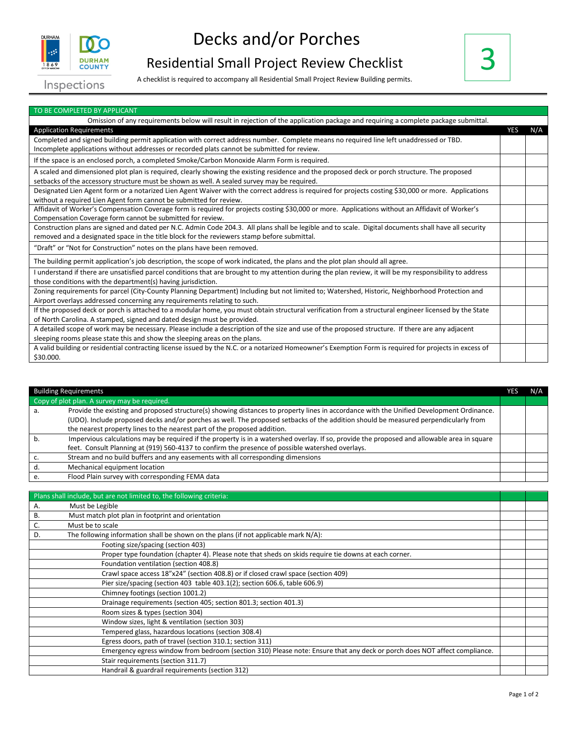

## Decks and/or Porches

## Residential Small Project Review Checklist A checklist is required to accompany all Residential Small Project Review Building permits.



Inspections

| TO BE COMPLETED BY APPLICANT                                                                                                                             |            |     |
|----------------------------------------------------------------------------------------------------------------------------------------------------------|------------|-----|
| Omission of any requirements below will result in rejection of the application package and requiring a complete package submittal.                       |            |     |
| <b>Application Requirements</b>                                                                                                                          | <b>YES</b> | N/A |
| Completed and signed building permit application with correct address number. Complete means no required line left unaddressed or TBD.                   |            |     |
| Incomplete applications without addresses or recorded plats cannot be submitted for review.                                                              |            |     |
| If the space is an enclosed porch, a completed Smoke/Carbon Monoxide Alarm Form is required.                                                             |            |     |
| A scaled and dimensioned plot plan is required, clearly showing the existing residence and the proposed deck or porch structure. The proposed            |            |     |
| setbacks of the accessory structure must be shown as well. A sealed survey may be required.                                                              |            |     |
| Designated Lien Agent form or a notarized Lien Agent Waiver with the correct address is required for projects costing \$30,000 or more. Applications     |            |     |
| without a required Lien Agent form cannot be submitted for review.                                                                                       |            |     |
| Affidavit of Worker's Compensation Coverage form is required for projects costing \$30,000 or more. Applications without an Affidavit of Worker's        |            |     |
| Compensation Coverage form cannot be submitted for review.                                                                                               |            |     |
| Construction plans are signed and dated per N.C. Admin Code 204.3. All plans shall be legible and to scale. Digital documents shall have all security    |            |     |
| removed and a designated space in the title block for the reviewers stamp before submittal.                                                              |            |     |
| "Draft" or "Not for Construction" notes on the plans have been removed.                                                                                  |            |     |
| The building permit application's job description, the scope of work indicated, the plans and the plot plan should all agree.                            |            |     |
| I understand if there are unsatisfied parcel conditions that are brought to my attention during the plan review, it will be my responsibility to address |            |     |
| those conditions with the department(s) having jurisdiction.                                                                                             |            |     |
| Zoning requirements for parcel (City-County Planning Department) Including but not limited to; Watershed, Historic, Neighborhood Protection and          |            |     |
| Airport overlays addressed concerning any requirements relating to such.                                                                                 |            |     |
| If the proposed deck or porch is attached to a modular home, you must obtain structural verification from a structural engineer licensed by the State    |            |     |
| of North Carolina. A stamped, signed and dated design must be provided.                                                                                  |            |     |
| A detailed scope of work may be necessary. Please include a description of the size and use of the proposed structure. If there are any adjacent         |            |     |
| sleeping rooms please state this and show the sleeping areas on the plans.                                                                               |            |     |
| A valid building or residential contracting license issued by the N.C. or a notarized Homeowner's Exemption Form is required for projects in excess of   |            |     |
| \$30.000.                                                                                                                                                |            |     |

|    | <b>Building Requirements</b>                                                                                                                | res | N/A |
|----|---------------------------------------------------------------------------------------------------------------------------------------------|-----|-----|
|    | Copy of plot plan. A survey may be required.                                                                                                |     |     |
| а. | Provide the existing and proposed structure(s) showing distances to property lines in accordance with the Unified Development Ordinance.    |     |     |
|    | (UDO). Include proposed decks and/or porches as well. The proposed setbacks of the addition should be measured perpendicularly from         |     |     |
|    | the nearest property lines to the nearest part of the proposed addition.                                                                    |     |     |
|    | Impervious calculations may be required if the property is in a watershed overlay. If so, provide the proposed and allowable area in square |     |     |
|    | feet. Consult Planning at (919) 560-4137 to confirm the presence of possible watershed overlays.                                            |     |     |
|    | Stream and no build buffers and any easements with all corresponding dimensions                                                             |     |     |
|    | Mechanical equipment location                                                                                                               |     |     |
|    | Flood Plain survey with corresponding FEMA data                                                                                             |     |     |
|    |                                                                                                                                             |     |     |

| Plans shall include, but are not limited to, the following criteria:                                                      |  |
|---------------------------------------------------------------------------------------------------------------------------|--|
| Must be Legible<br>А.                                                                                                     |  |
| Must match plot plan in footprint and orientation<br>В.                                                                   |  |
| C.<br>Must be to scale                                                                                                    |  |
| The following information shall be shown on the plans (if not applicable mark $N/A$ ):<br>D.                              |  |
| Footing size/spacing (section 403)                                                                                        |  |
| Proper type foundation (chapter 4). Please note that sheds on skids require tie downs at each corner.                     |  |
| Foundation ventilation (section 408.8)                                                                                    |  |
| Crawl space access 18"x24" (section 408.8) or if closed crawl space (section 409)                                         |  |
| Pier size/spacing (section 403 table 403.1(2); section 606.6, table 606.9)                                                |  |
| Chimney footings (section 1001.2)                                                                                         |  |
| Drainage requirements (section 405; section 801.3; section 401.3)                                                         |  |
| Room sizes & types (section 304)                                                                                          |  |
| Window sizes, light & ventilation (section 303)                                                                           |  |
| Tempered glass, hazardous locations (section 308.4)                                                                       |  |
| Egress doors, path of travel (section 310.1; section 311)                                                                 |  |
| Emergency egress window from bedroom (section 310) Please note: Ensure that any deck or porch does NOT affect compliance. |  |
| Stair requirements (section 311.7)                                                                                        |  |
| Handrail & guardrail requirements (section 312)                                                                           |  |